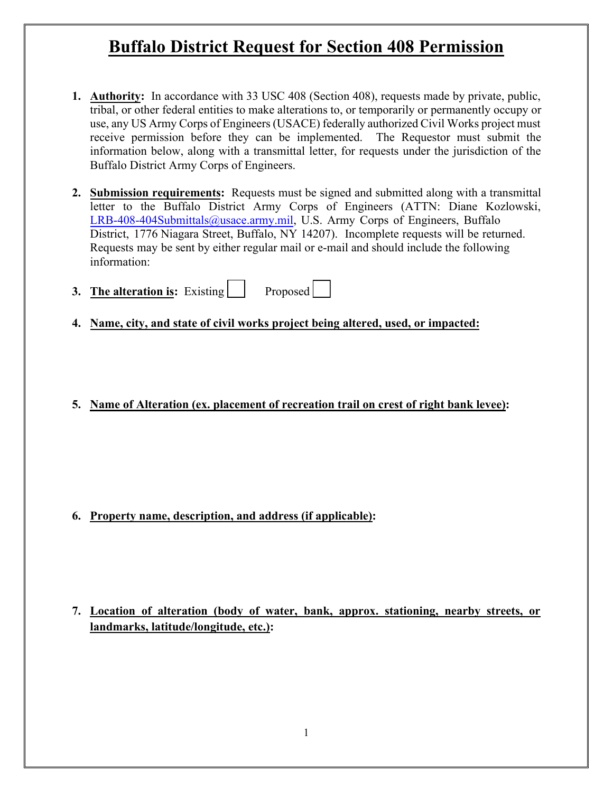- **1. Authority:** In accordance with 33 USC 408 (Section 408), requests made by private, public, tribal, or other federal entities to make alterations to, or temporarily or permanently occupy or use, any US Army Corps of Engineers (USACE) federally authorized Civil Works project must receive permission before they can be implemented. The Requestor must submit the information below, along with a transmittal letter, for requests under the jurisdiction of the Buffalo District Army Corps of Engineers.
- **2. Submission requirements:** Requests must be signed and submitted along with a transmittal letter to the Buffalo District Army Corps of Engineers (ATTN: Diane Kozlowski, LRB-408-404Submittals@usace.army.mil, U.S. Army Corps of Engineers, Buffalo District, 1776 Niagara Street, Buffalo, NY 14207). Incomplete requests will be returned. Requests may be sent by either regular mail or e-mail and should include the following information:
- **3.** The alteration is: Existing Proposed
- **4. Name, city, and state of civil works project being altered, used, or impacted:**
- **5. Name of Alteration (ex. placement of recreation trail on crest of right bank levee):**

**6. Property name, description, and address (if applicable):**

**7. Location of alteration (body of water, bank, approx. stationing, nearby streets, or landmarks, latitude/longitude, etc.):**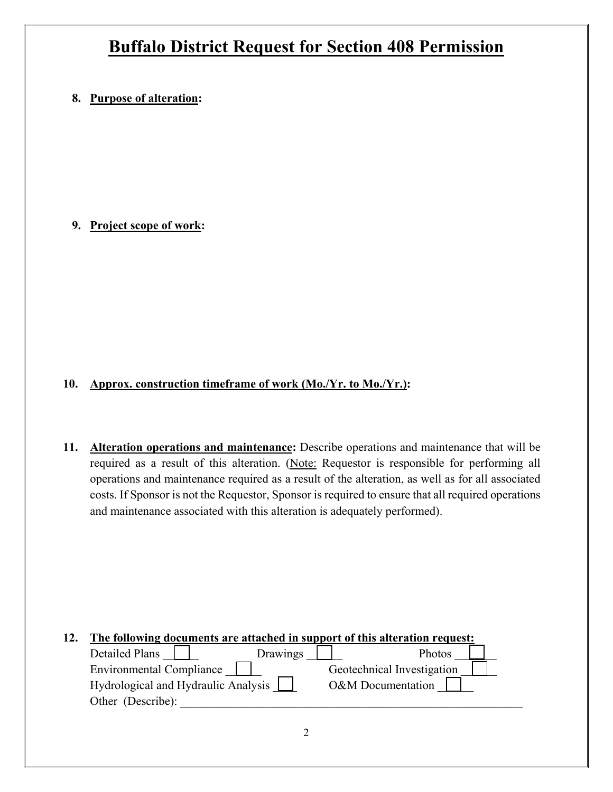### **8. Purpose of alteration:**

### **9. Project scope of work:**

### **10. Approx. construction timeframe of work (Mo./Yr. to Mo./Yr.):**

**11. Alteration operations and maintenance:** Describe operations and maintenance that will be required as a result of this alteration. (Note: Requestor is responsible for performing all operations and maintenance required as a result of the alteration, as well as for all associated costs. If Sponsor is not the Requestor, Sponsor is required to ensure that all required operations and maintenance associated with this alteration is adequately performed).

| 12. | The following documents are attached in support of this alteration request: |                            |  |  |  |  |
|-----|-----------------------------------------------------------------------------|----------------------------|--|--|--|--|
|     | Detailed Plans<br>Drawings                                                  | Photos                     |  |  |  |  |
|     | <b>Environmental Compliance</b>                                             | Geotechnical Investigation |  |  |  |  |
|     | Hydrological and Hydraulic Analysis                                         | O&M Documentation          |  |  |  |  |
|     | Other (Describe):                                                           |                            |  |  |  |  |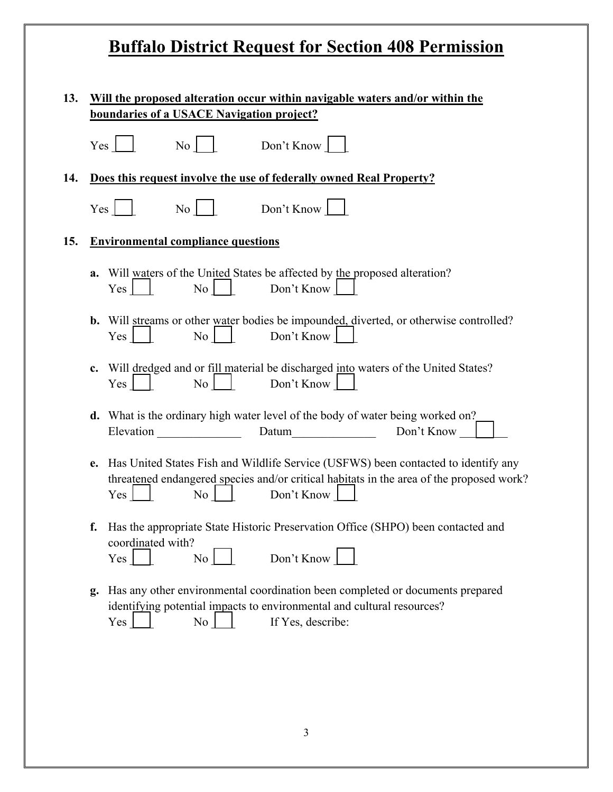| 13. | Will the proposed alteration occur within navigable waters and/or within the<br>boundaries of a USACE Navigation project? |                                                                                                                                                                                                                                            |  |  |  |
|-----|---------------------------------------------------------------------------------------------------------------------------|--------------------------------------------------------------------------------------------------------------------------------------------------------------------------------------------------------------------------------------------|--|--|--|
|     | Yes                                                                                                                       | Don't Know<br>No                                                                                                                                                                                                                           |  |  |  |
| 14. |                                                                                                                           | Does this request involve the use of federally owned Real Property?                                                                                                                                                                        |  |  |  |
|     | $Yes \mid$                                                                                                                | $\overline{N_0}$  <br>Don't Know                                                                                                                                                                                                           |  |  |  |
| 15. |                                                                                                                           | <b>Environmental compliance questions</b>                                                                                                                                                                                                  |  |  |  |
|     | a.                                                                                                                        | Will waters of the United States be affected by the proposed alteration?<br>$Yes \mid \mid$<br>No Don't Know                                                                                                                               |  |  |  |
|     |                                                                                                                           | <b>b.</b> Will streams or other water bodies be impounded, diverted, or otherwise controlled?<br>$\begin{array}{c c c c} \hline \text{No} & \text{Don't Know} & \end{array}$<br>$Yes \mid$                                                 |  |  |  |
|     | $c_{\cdot}$                                                                                                               | Will dredged and or fill material be discharged into waters of the United States?<br>$\begin{array}{c c} \n\hline\n\end{array}$ No $\begin{array}{c c} \n\end{array}$<br>Don't Know<br>Yes                                                 |  |  |  |
|     |                                                                                                                           | d. What is the ordinary high water level of the body of water being worked on?<br>Elevation Datum Datum Don't Know                                                                                                                         |  |  |  |
|     | e.                                                                                                                        | Has United States Fish and Wildlife Service (USFWS) been contacted to identify any<br>threatened endangered species and/or critical habitats in the area of the proposed work?<br>Don't Know $\lfloor$<br>$\overline{N_{0}}$<br>$Yes \mid$ |  |  |  |
|     |                                                                                                                           | f. Has the appropriate State Historic Preservation Office (SHPO) been contacted and<br>coordinated with?<br>Don't Know<br>Yes  <br>No <sub>1</sub>                                                                                         |  |  |  |
|     | g.                                                                                                                        | Has any other environmental coordination been completed or documents prepared<br>identifying potential impacts to environmental and cultural resources?<br>No<br>If Yes, describe:<br>Yes                                                  |  |  |  |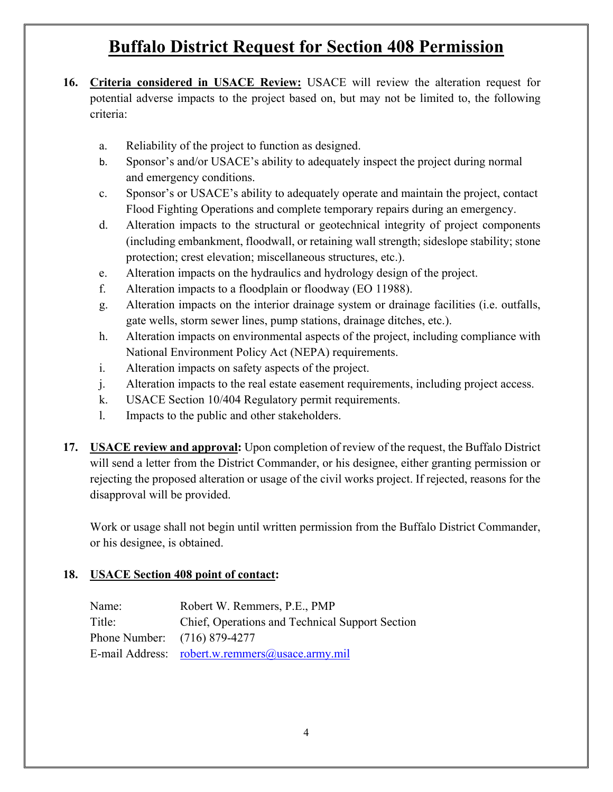- **16. Criteria considered in USACE Review:** USACE will review the alteration request for potential adverse impacts to the project based on, but may not be limited to, the following criteria:
	- a. Reliability of the project to function as designed.
	- b. Sponsor's and/or USACE's ability to adequately inspect the project during normal and emergency conditions.
	- c. Sponsor's or USACE's ability to adequately operate and maintain the project, contact Flood Fighting Operations and complete temporary repairs during an emergency.
	- d. Alteration impacts to the structural or geotechnical integrity of project components (including embankment, floodwall, or retaining wall strength; sideslope stability; stone protection; crest elevation; miscellaneous structures, etc.).
	- e. Alteration impacts on the hydraulics and hydrology design of the project.
	- f. Alteration impacts to a floodplain or floodway (EO 11988).
	- g. Alteration impacts on the interior drainage system or drainage facilities (i.e. outfalls, gate wells, storm sewer lines, pump stations, drainage ditches, etc.).
	- h. Alteration impacts on environmental aspects of the project, including compliance with National Environment Policy Act (NEPA) requirements.
	- i. Alteration impacts on safety aspects of the project.
	- j. Alteration impacts to the real estate easement requirements, including project access.
	- k. USACE Section 10/404 Regulatory permit requirements.
	- l. Impacts to the public and other stakeholders.
- **17. USACE review and approval:** Upon completion of review of the request, the Buffalo District will send a letter from the District Commander, or his designee, either granting permission or rejecting the proposed alteration or usage of the civil works project. If rejected, reasons for the disapproval will be provided.

Work or usage shall not begin until written permission from the Buffalo District Commander, or his designee, is obtained.

### **18. USACE Section 408 point of contact:**

| Name:                        | Robert W. Remmers, P.E., PMP                    |
|------------------------------|-------------------------------------------------|
| Title:                       | Chief, Operations and Technical Support Section |
| Phone Number: (716) 879-4277 |                                                 |
|                              | E-mail Address: robert.w.remmers@usace.army.mil |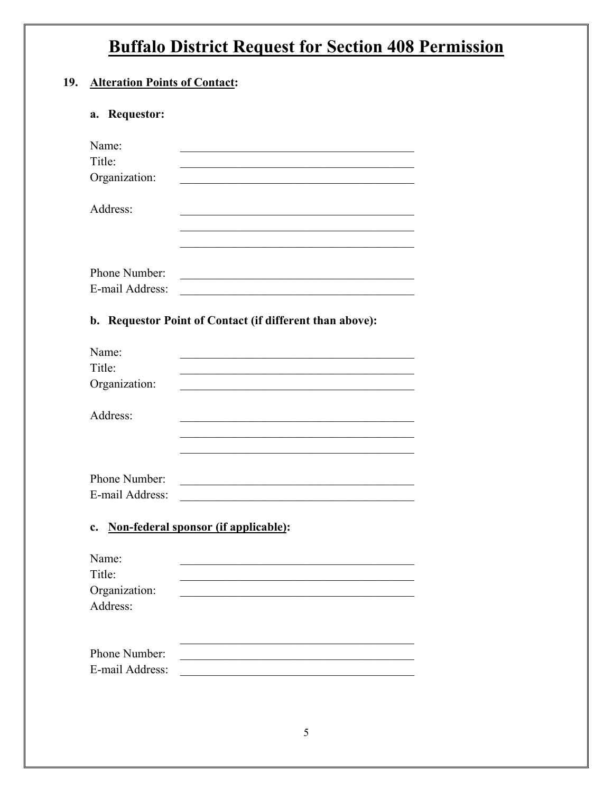### 19. Alteration Points of Contact:

### a. Requestor:

| Name:           |  |
|-----------------|--|
| Title:          |  |
| Organization:   |  |
|                 |  |
| Address:        |  |
|                 |  |
|                 |  |
|                 |  |
| Phone Number:   |  |
| E-mail Address: |  |

### b. Requestor Point of Contact (if different than above):

| Name:           |  |
|-----------------|--|
| Title:          |  |
| Organization:   |  |
|                 |  |
| Address:        |  |
|                 |  |
|                 |  |
|                 |  |
| Phone Number:   |  |
| E-mail Address: |  |
|                 |  |

### c. Non-federal sponsor (if applicable):

| Name:           |  |  |  |
|-----------------|--|--|--|
| Title:          |  |  |  |
| Organization:   |  |  |  |
| Address:        |  |  |  |
|                 |  |  |  |
| Phone Number:   |  |  |  |
| E-mail Address: |  |  |  |